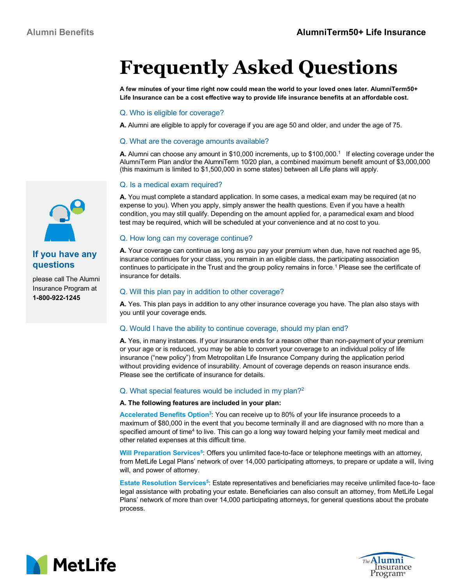# **Frequently Asked Questions**

**A few minutes of your time right now could mean the world to your loved ones later. AlumniTerm50+ Life Insurance can be a cost effective way to provide life insurance benefits at an affordable cost.**

#### Q. Who is eligible for coverage?

**A.** Alumni are eligible to apply for coverage if you are age 50 and older, and under the age of 75.

#### Q. What are the coverage amounts available?

**A.** Alumni can choose any amount in \$10,000 increments, up to \$100,000.<sup>1</sup> If electing coverage under the AlumniTerm Plan and/or the AlumniTerm 10/20 plan, a combined maximum benefit amount of \$3,000,000 (this maximum is limited to \$1,500,000 in some states) between all Life plans will apply.

## Q. Is a medical exam required?

**A.** You must complete a standard application. In some cases, a medical exam may be required (at no expense to you). When you apply, simply answer the health questions. Even if you have a health condition, you may still qualify. Depending on the amount applied for, a paramedical exam and blood test may be required, which will be scheduled at your convenience and at no cost to you.

## Q. How long can my coverage continue?

**A.** Your coverage can continue as long as you pay your premium when due, have not reached age 95, insurance continues for your class, you remain in an eligible class, the participating association continues to participate in the Trust and the group policy remains in force.<sup>1</sup> Please see the certificate of insurance for details.

## Q. Will this plan pay in addition to other coverage?

**A.** Yes. This plan pays in addition to any other insurance coverage you have. The plan also stays with you until your coverage ends.

## Q. Would I have the ability to continue coverage, should my plan end?

**A.** Yes, in many instances. If your insurance ends for a reason other than non-payment of your premium or your age or is reduced, you may be able to convert your coverage to an individual policy of life insurance ("new policy") from Metropolitan Life Insurance Company during the application period without providing evidence of insurability. Amount of coverage depends on reason insurance ends. Please see the certificate of insurance for details.

## Q. What special features would be included in my plan?<sup>2</sup>

#### **A. The following features are included in your plan:**

**Accelerated Benefits Option<sup>3</sup>** : You can receive up to 80% of your life insurance proceeds to a maximum of \$80,000 in the event that you become terminally ill and are diagnosed with no more than a specified amount of time<sup>4</sup> to live. This can go a long way toward helping your family meet medical and other related expenses at this difficult time.

**Will Preparation Services<sup>5</sup>** : Offers you unlimited face-to-face or telephone meetings with an attorney, from MetLife Legal Plans' network of over 14,000 participating attorneys, to prepare or update a will, living will, and power of attorney.

**Estate Resolution Services<sup>5</sup>:** Estate representatives and beneficiaries may receive unlimited face-to- face legal assistance with probating your estate. Beneficiaries can also consult an attorney, from MetLife Legal Plans' network of more than over 14,000 participating attorneys, for general questions about the probate process.







# **If you have any questions**

please call The Alumni Insurance Program at **1-800-922-1245**